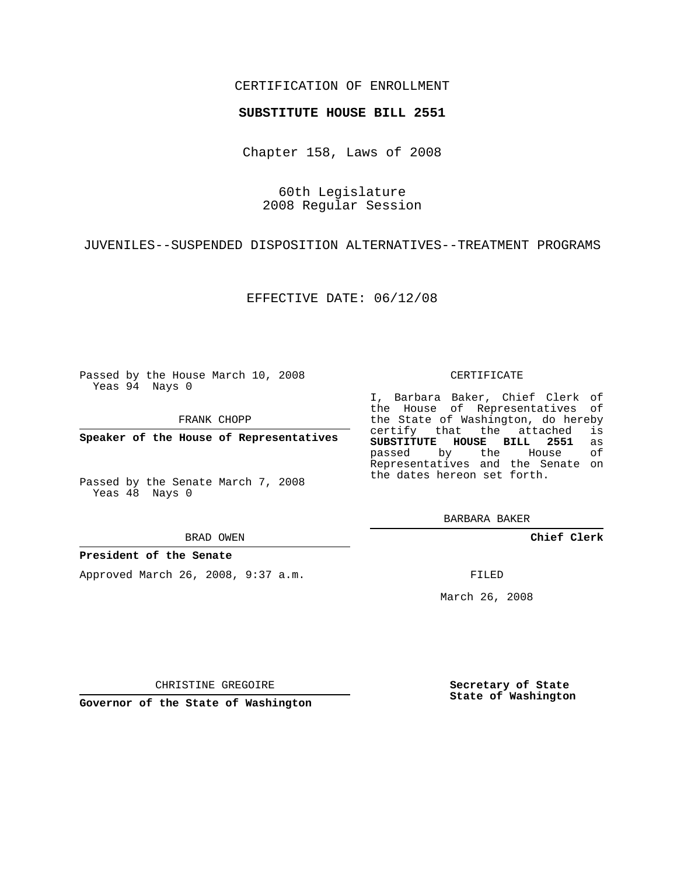## CERTIFICATION OF ENROLLMENT

### **SUBSTITUTE HOUSE BILL 2551**

Chapter 158, Laws of 2008

60th Legislature 2008 Regular Session

JUVENILES--SUSPENDED DISPOSITION ALTERNATIVES--TREATMENT PROGRAMS

EFFECTIVE DATE: 06/12/08

Passed by the House March 10, 2008 Yeas 94 Nays 0

FRANK CHOPP

**Speaker of the House of Representatives**

Passed by the Senate March 7, 2008 Yeas 48 Nays 0

#### BRAD OWEN

#### **President of the Senate**

Approved March 26, 2008, 9:37 a.m.

#### CERTIFICATE

I, Barbara Baker, Chief Clerk of the House of Representatives of the State of Washington, do hereby<br>certify that the attached is certify that the attached **SUBSTITUTE HOUSE BILL 2551** as passed by the House Representatives and the Senate on the dates hereon set forth.

BARBARA BAKER

**Chief Clerk**

FILED

March 26, 2008

**Secretary of State State of Washington**

CHRISTINE GREGOIRE

**Governor of the State of Washington**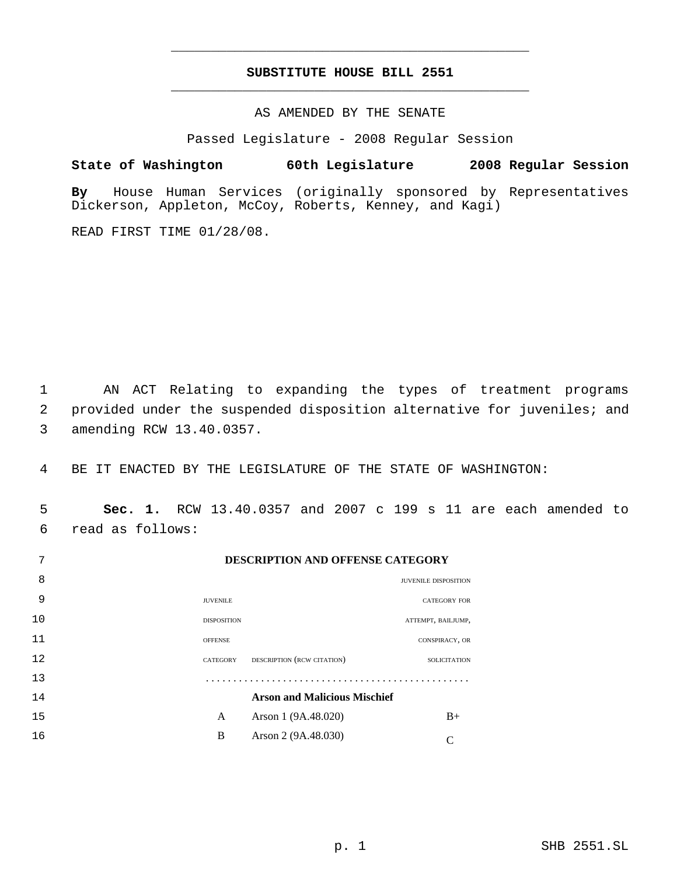# **SUBSTITUTE HOUSE BILL 2551** \_\_\_\_\_\_\_\_\_\_\_\_\_\_\_\_\_\_\_\_\_\_\_\_\_\_\_\_\_\_\_\_\_\_\_\_\_\_\_\_\_\_\_\_\_

\_\_\_\_\_\_\_\_\_\_\_\_\_\_\_\_\_\_\_\_\_\_\_\_\_\_\_\_\_\_\_\_\_\_\_\_\_\_\_\_\_\_\_\_\_

AS AMENDED BY THE SENATE

Passed Legislature - 2008 Regular Session

**State of Washington 60th Legislature 2008 Regular Session**

**By** House Human Services (originally sponsored by Representatives Dickerson, Appleton, McCoy, Roberts, Kenney, and Kagi)

READ FIRST TIME 01/28/08.

 1 AN ACT Relating to expanding the types of treatment programs 2 provided under the suspended disposition alternative for juveniles; and 3 amending RCW 13.40.0357.

4 BE IT ENACTED BY THE LEGISLATURE OF THE STATE OF WASHINGTON:

 5 **Sec. 1.** RCW 13.40.0357 and 2007 c 199 s 11 are each amended to 6 read as follows:

| $\mathbf{I}$ |                    | DESCRII HOR ARD OFFERSE CATEGORI    |                      |                     |
|--------------|--------------------|-------------------------------------|----------------------|---------------------|
| 8            |                    |                                     | JUVENILE DISPOSITION |                     |
| 9            | <b>JUVENILE</b>    |                                     | <b>CATEGORY FOR</b>  |                     |
| 10           | <b>DISPOSITION</b> |                                     | ATTEMPT, BAILJUMP,   |                     |
| 11           | <b>OFFENSE</b>     |                                     | CONSPIRACY, OR       |                     |
| 12           | CATEGORY           | DESCRIPTION (RCW CITATION)          |                      | <b>SOLICITATION</b> |
| 13           |                    |                                     |                      |                     |
| 14           |                    | <b>Arson and Malicious Mischief</b> |                      |                     |
| 15           | A                  | Arson 1 (9A.48.020)                 |                      | $B+$                |
| 16           | B                  | Arson 2 (9A.48.030)                 |                      | C                   |
|              |                    |                                     |                      |                     |

7 **DESCRIPTION AND OFFENSE CATEGORY**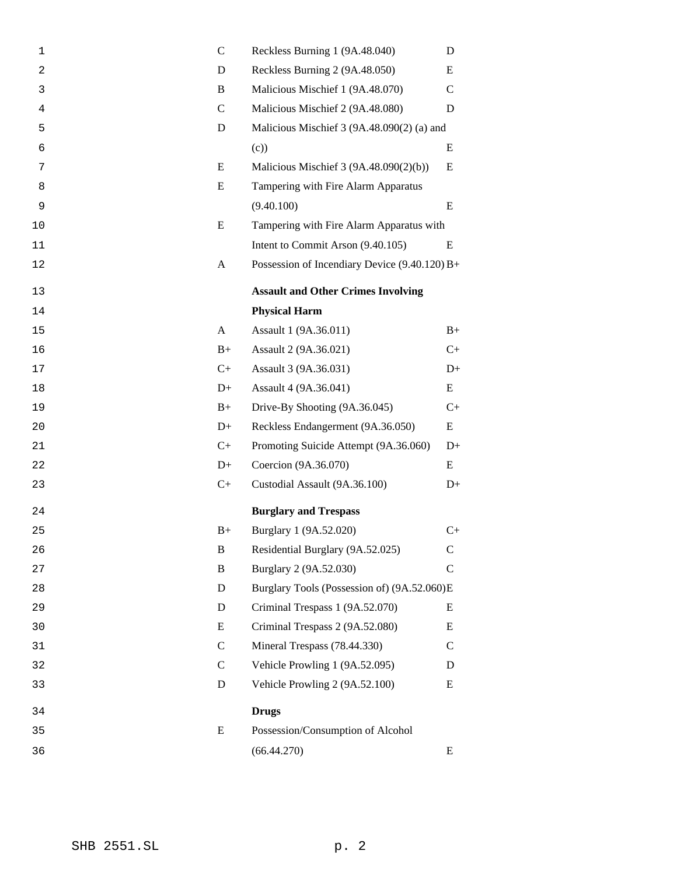| $\mathbf 1$    | $\mathcal{C}$ | Reckless Burning 1 (9A.48.040)                  | D             |  |
|----------------|---------------|-------------------------------------------------|---------------|--|
| $\overline{c}$ | D             | Reckless Burning 2 (9A.48.050)<br>E             |               |  |
| 3              | B             | Malicious Mischief 1 (9A.48.070)                |               |  |
| $\overline{4}$ | $\mathcal{C}$ | Malicious Mischief 2 (9A.48.080)                | D             |  |
| 5              | D             | Malicious Mischief 3 (9A.48.090(2) (a) and      |               |  |
| 6              |               | (c)                                             | E             |  |
| 7              | E             | Malicious Mischief 3 (9A.48.090(2)(b))          | E             |  |
| 8              | E             | Tampering with Fire Alarm Apparatus             |               |  |
| 9              |               | (9.40.100)                                      | E             |  |
| 10             | E             | Tampering with Fire Alarm Apparatus with        |               |  |
| 11             |               | Intent to Commit Arson (9.40.105)               | E             |  |
| 12             | A             | Possession of Incendiary Device $(9.40.120) B+$ |               |  |
| 13             |               | <b>Assault and Other Crimes Involving</b>       |               |  |
| 14             |               | <b>Physical Harm</b>                            |               |  |
| 15             | A             | Assault 1 (9A.36.011)                           | $B+$          |  |
| 16             | $B+$          | Assault 2 (9A.36.021)                           | $C+$          |  |
| 17             | $C+$          | Assault 3 (9A.36.031)                           | $D+$          |  |
| 18             | $D+$          | Assault 4 (9A.36.041)                           | E             |  |
| 19             | $B+$          | Drive-By Shooting (9A.36.045)                   | $C_{+}$       |  |
| 20             | $D+$          | Reckless Endangerment (9A.36.050)               | E             |  |
| 21             | $C+$          | Promoting Suicide Attempt (9A.36.060)           | $D+$          |  |
| 22             | $D+$          | Coercion (9A.36.070)                            | E             |  |
| 23             | $C+$          | Custodial Assault (9A.36.100)                   | $D+$          |  |
| 24             |               | <b>Burglary and Trespass</b>                    |               |  |
| 25             | $B+$          | Burglary 1 (9A.52.020)                          | $C_{+}$       |  |
| 26             | B             | Residential Burglary (9A.52.025)                | $\mathsf{C}$  |  |
| 27             | B             | Burglary 2 (9A.52.030)                          | $\mathsf{C}$  |  |
| 28             | D             | Burglary Tools (Possession of) (9A.52.060)E     |               |  |
| 29             | D             | Criminal Trespass 1 (9A.52.070)                 | E             |  |
| 30             | E             | Criminal Trespass 2 (9A.52.080)                 | E             |  |
| 31             | $\mathsf{C}$  | Mineral Trespass (78.44.330)                    | $\mathcal{C}$ |  |
| 32             | $\mathcal{C}$ | Vehicle Prowling 1 (9A.52.095)                  | D             |  |
| 33             | D             | Vehicle Prowling 2 (9A.52.100)                  | Ε             |  |
| 34             |               | <b>Drugs</b>                                    |               |  |
| 35             | E             | Possession/Consumption of Alcohol               |               |  |
| 36             |               | (66.44.270)                                     | E             |  |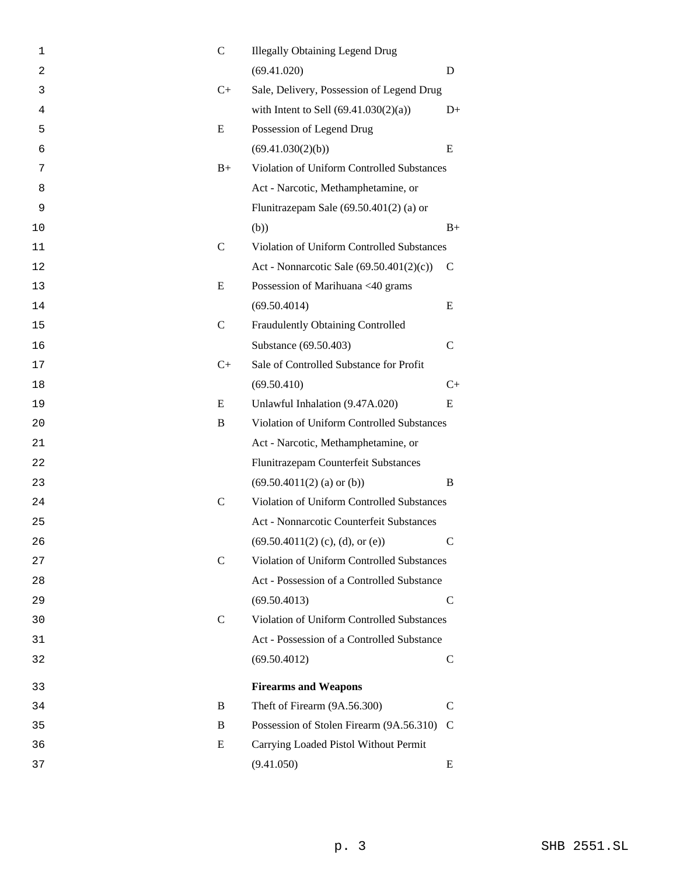| 1  | $\mathbf C$   | <b>Illegally Obtaining Legend Drug</b>     |               |
|----|---------------|--------------------------------------------|---------------|
| 2  |               | (69.41.020)                                | D             |
| 3  | $C+$          | Sale, Delivery, Possession of Legend Drug  |               |
| 4  |               | with Intent to Sell $(69.41.030(2)(a))$    | $D+$          |
| 5  | E             | Possession of Legend Drug                  |               |
| 6  |               | (69.41.030(2)(b))                          | E             |
| 7  | $B+$          | Violation of Uniform Controlled Substances |               |
| 8  |               | Act - Narcotic, Methamphetamine, or        |               |
| 9  |               | Flunitrazepam Sale $(69.50.401(2)$ (a) or  |               |
| 10 |               | (b))                                       | $B+$          |
| 11 | $\mathcal{C}$ | Violation of Uniform Controlled Substances |               |
| 12 |               | Act - Nonnarcotic Sale (69.50.401(2)(c))   | $\mathsf{C}$  |
| 13 | E             | Possession of Marihuana <40 grams          |               |
| 14 |               | (69.50.4014)                               | E             |
| 15 | $\mathsf{C}$  | Fraudulently Obtaining Controlled          |               |
| 16 |               | Substance (69.50.403)                      | $\mathcal{C}$ |
| 17 | $C+$          | Sale of Controlled Substance for Profit    |               |
| 18 |               | (69.50.410)                                | $C+$          |
| 19 | E             | Unlawful Inhalation (9.47A.020)            | E             |
| 20 | B             | Violation of Uniform Controlled Substances |               |
| 21 |               | Act - Narcotic, Methamphetamine, or        |               |
| 22 |               | Flunitrazepam Counterfeit Substances       |               |
| 23 |               | $(69.50.4011(2)$ (a) or (b))               | B             |
| 24 | $\mathsf{C}$  | Violation of Uniform Controlled Substances |               |
| 25 |               | Act - Nonnarcotic Counterfeit Substances   |               |
| 26 |               | (69.50.4011(2) (c), (d), or (e))           | C             |
| 27 | $\mathsf{C}$  | Violation of Uniform Controlled Substances |               |
| 28 |               | Act - Possession of a Controlled Substance |               |
| 29 |               | (69.50.4013)                               | C             |
| 30 | $\mathcal{C}$ | Violation of Uniform Controlled Substances |               |
| 31 |               | Act - Possession of a Controlled Substance |               |
| 32 |               | (69.50.4012)                               | $\mathsf{C}$  |
| 33 |               | <b>Firearms and Weapons</b>                |               |
| 34 | B             | Theft of Firearm (9A.56.300)               | C             |
| 35 | B             | Possession of Stolen Firearm (9A.56.310)   | C             |
| 36 | Ε             | Carrying Loaded Pistol Without Permit      |               |
| 37 |               | (9.41.050)                                 | E             |
|    |               |                                            |               |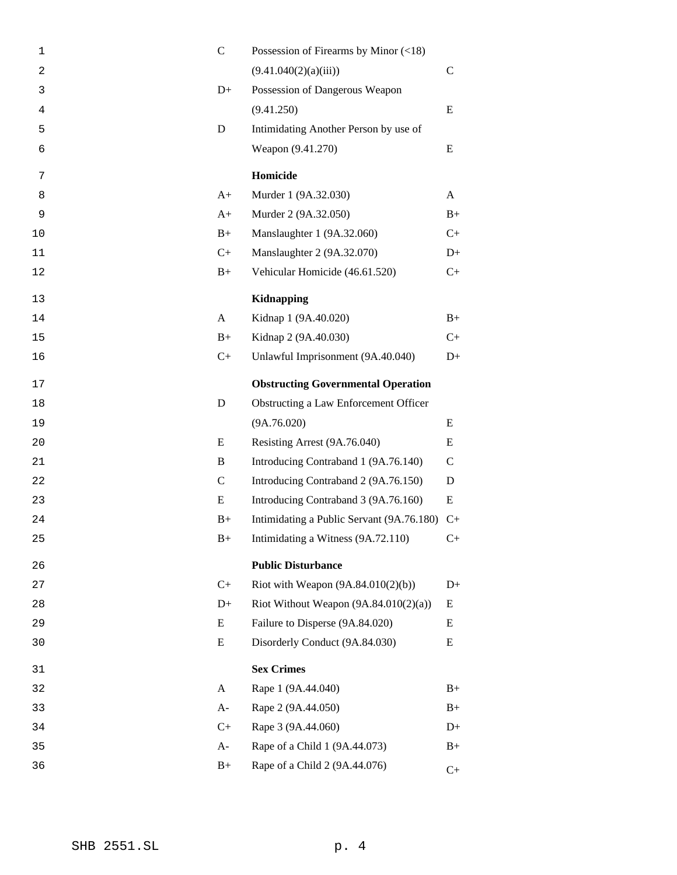| $\mathbf 1$ | $\mathcal{C}$ | Possession of Firearms by Minor $(\leq 18)$ |              |
|-------------|---------------|---------------------------------------------|--------------|
| 2           |               | (9.41.040(2)(a)(iii))                       | $\mathsf{C}$ |
| 3           | $D+$          | Possession of Dangerous Weapon              |              |
| 4           |               | (9.41.250)                                  | E            |
| 5           | D             | Intimidating Another Person by use of       |              |
| 6           |               | Weapon (9.41.270)                           | Ε            |
| 7           |               | Homicide                                    |              |
| 8           | $A+$          | Murder 1 (9A.32.030)                        | A            |
| 9           | $A+$          | Murder 2 (9A.32.050)                        | $B+$         |
| 10          | $B+$          | Manslaughter 1 (9A.32.060)                  | $C+$         |
| 11          | $C+$          | Manslaughter 2 (9A.32.070)                  | $D+$         |
| 12          | $B+$          | Vehicular Homicide (46.61.520)              | $C+$         |
| 13          |               | <b>Kidnapping</b>                           |              |
| 14          | A             | Kidnap 1 (9A.40.020)                        | $B+$         |
| 15          | $B+$          | Kidnap 2 (9A.40.030)                        | $C+$         |
| 16          | $C+$          | Unlawful Imprisonment (9A.40.040)           | $D+$         |
| 17          |               | <b>Obstructing Governmental Operation</b>   |              |
| 18          | D             | Obstructing a Law Enforcement Officer       |              |
| 19          |               | (9A.76.020)                                 | E            |
| 20          | E             | Resisting Arrest (9A.76.040)                | E            |
| 21          | B             | Introducing Contraband 1 (9A.76.140)        | $\mathsf{C}$ |
| 22          | $\mathsf{C}$  | Introducing Contraband 2 (9A.76.150)        | D            |
| 23          | E             | Introducing Contraband 3 (9A.76.160)        | Ε            |
| 24          | $B+$          | Intimidating a Public Servant (9A.76.180)   | $C+$         |
| 25          | $B+$          | Intimidating a Witness (9A.72.110)          | $C+$         |
| 26          |               | <b>Public Disturbance</b>                   |              |
| 27          | $C+$          | Riot with Weapon $(9A.84.010(2)(b))$        | $D+$         |
| 28          | $D+$          | Riot Without Weapon $(9A.84.010(2)(a))$     | Ε            |
| 29          | E             | Failure to Disperse (9A.84.020)             | E            |
| 30          | E             | Disorderly Conduct (9A.84.030)              | Ε            |
| 31          |               | <b>Sex Crimes</b>                           |              |
| 32          | A             | Rape 1 (9A.44.040)                          | $B+$         |
| 33          | $A-$          | Rape 2 (9A.44.050)                          | $B+$         |
| 34          | $C+$          | Rape 3 (9A.44.060)                          | $D+$         |
| 35          | $A-$          | Rape of a Child 1 (9A.44.073)               | $B+$         |
| 36          | $B+$          | Rape of a Child 2 (9A.44.076)               | $C+$         |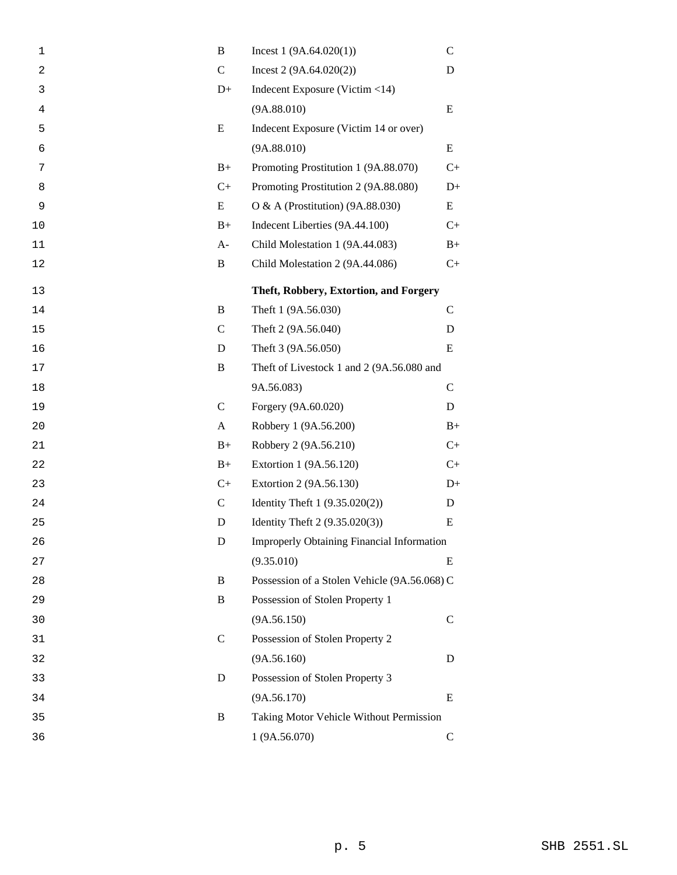| $\mathbf 1$    | B             | Incest $1(9A.64.020(1))$                          | $\mathsf{C}$ |
|----------------|---------------|---------------------------------------------------|--------------|
| $\overline{a}$ | $\mathsf{C}$  | Incest $2(9A.64.020(2))$                          | D            |
| 3              | $D+$          | Indecent Exposure (Victim $<$ 14)                 |              |
| 4              |               | (9A.88.010)                                       | E            |
| 5              | E             | Indecent Exposure (Victim 14 or over)             |              |
| 6              |               | (9A.88.010)                                       | E            |
| 7              | $B+$          | Promoting Prostitution 1 (9A.88.070)              | $C+$         |
| 8              | $C+$          | Promoting Prostitution 2 (9A.88.080)              | $D+$         |
| 9              | E             | O & A (Prostitution) (9A.88.030)                  | E            |
| 10             | $B+$          | Indecent Liberties (9A.44.100)                    | $C+$         |
| 11             | $A-$          | Child Molestation 1 (9A.44.083)                   | $B+$         |
| 12             | B             | Child Molestation 2 (9A.44.086)                   | $C_{+}$      |
| 13             |               | Theft, Robbery, Extortion, and Forgery            |              |
| 14             | B             | Theft 1 (9A.56.030)                               | $\mathsf{C}$ |
| 15             | $\mathcal{C}$ | Theft 2 (9A.56.040)                               | D            |
| 16             | D             | Theft 3 (9A.56.050)                               | E            |
| 17             | B             | Theft of Livestock 1 and 2 (9A.56.080 and         |              |
| 18             |               | 9A.56.083)                                        | $\mathsf{C}$ |
| 19             | $\mathcal{C}$ | Forgery (9A.60.020)                               | D            |
| 20             | A             | Robbery 1 (9A.56.200)                             | $B+$         |
| 21             | $B+$          | Robbery 2 (9A.56.210)                             | $C+$         |
| 22             | $B+$          | Extortion 1 (9A.56.120)                           | $C+$         |
| 23             | $C+$          | Extortion 2 (9A.56.130)                           | $D+$         |
| 24             | $\mathcal{C}$ | Identity Theft 1 (9.35.020(2))                    | D            |
| 25             | D             | Identity Theft 2 (9.35.020(3))                    | Ε            |
| 26             | D             | <b>Improperly Obtaining Financial Information</b> |              |
| 27             |               | (9.35.010)                                        | E            |
| 28             | B             | Possession of a Stolen Vehicle (9A.56.068) C      |              |
| 29             | B             | Possession of Stolen Property 1                   |              |
| 30             |               | (9A.56.150)                                       | $\mathsf{C}$ |
| 31             | $\mathcal{C}$ | Possession of Stolen Property 2                   |              |
| 32             |               | (9A.56.160)                                       | D            |
| 33             | D             | Possession of Stolen Property 3                   |              |
| 34             |               | (9A.56.170)                                       | E            |
| 35             | B             | Taking Motor Vehicle Without Permission           |              |
| 36             |               | 1 (9A.56.070)                                     | $\mathsf{C}$ |
|                |               |                                                   |              |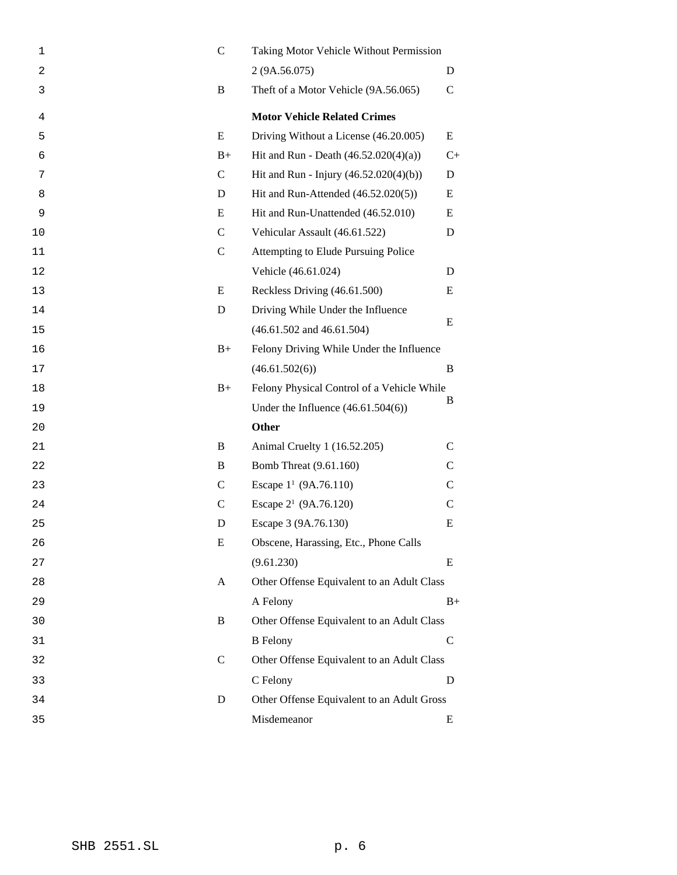| 1  | $\mathsf{C}$  | Taking Motor Vehicle Without Permission    |               |
|----|---------------|--------------------------------------------|---------------|
| 2  |               | 2 (9A.56.075)                              | D             |
| 3  | B             | Theft of a Motor Vehicle (9A.56.065)       | $\mathsf{C}$  |
| 4  |               | <b>Motor Vehicle Related Crimes</b>        |               |
| 5  | E             | Driving Without a License (46.20.005)      | E             |
| 6  | $B+$          | Hit and Run - Death $(46.52.020(4)(a))$    | $C+$          |
| 7  | $\mathsf{C}$  | Hit and Run - Injury $(46.52.020(4)(b))$   | D             |
| 8  | D             | Hit and Run-Attended $(46.52.020(5))$      | E             |
| 9  | E             | Hit and Run-Unattended (46.52.010)         | Ε             |
| 10 | $\mathbf C$   | Vehicular Assault (46.61.522)              | D             |
| 11 | $\mathbf C$   | Attempting to Elude Pursuing Police        |               |
| 12 |               | Vehicle (46.61.024)                        | D             |
| 13 | E             | Reckless Driving (46.61.500)               | E             |
| 14 | D             | Driving While Under the Influence          |               |
| 15 |               | $(46.61.502$ and $46.61.504)$              | E             |
| 16 | $B+$          | Felony Driving While Under the Influence   |               |
| 17 |               | (46.61.502(6))                             | B             |
| 18 | $B+$          | Felony Physical Control of a Vehicle While |               |
| 19 |               | Under the Influence $(46.61.504(6))$       | B             |
| 20 |               | Other                                      |               |
| 21 | B             | Animal Cruelty 1 (16.52.205)               | $\mathsf{C}$  |
| 22 | B             | Bomb Threat (9.61.160)                     | $\mathcal{C}$ |
| 23 | $\mathcal{C}$ | Escape $1^1$ (9A.76.110)                   | $\mathcal{C}$ |
| 24 | $\mathcal{C}$ | Escape 2 <sup>1</sup> (9A.76.120)          | $\mathsf{C}$  |
| 25 | D             | Escape 3 (9A.76.130)                       | E             |
| 26 | Ε             | Obscene, Harassing, Etc., Phone Calls      |               |
| 27 |               | (9.61.230)                                 | E             |
| 28 | A             | Other Offense Equivalent to an Adult Class |               |
| 29 |               | A Felony                                   | $B+$          |
| 30 | B             | Other Offense Equivalent to an Adult Class |               |
| 31 |               | <b>B</b> Felony                            | C             |
| 32 | $\mathcal{C}$ | Other Offense Equivalent to an Adult Class |               |
| 33 |               | C Felony                                   | D             |
| 34 | D             | Other Offense Equivalent to an Adult Gross |               |
| 35 |               | Misdemeanor                                | E             |
|    |               |                                            |               |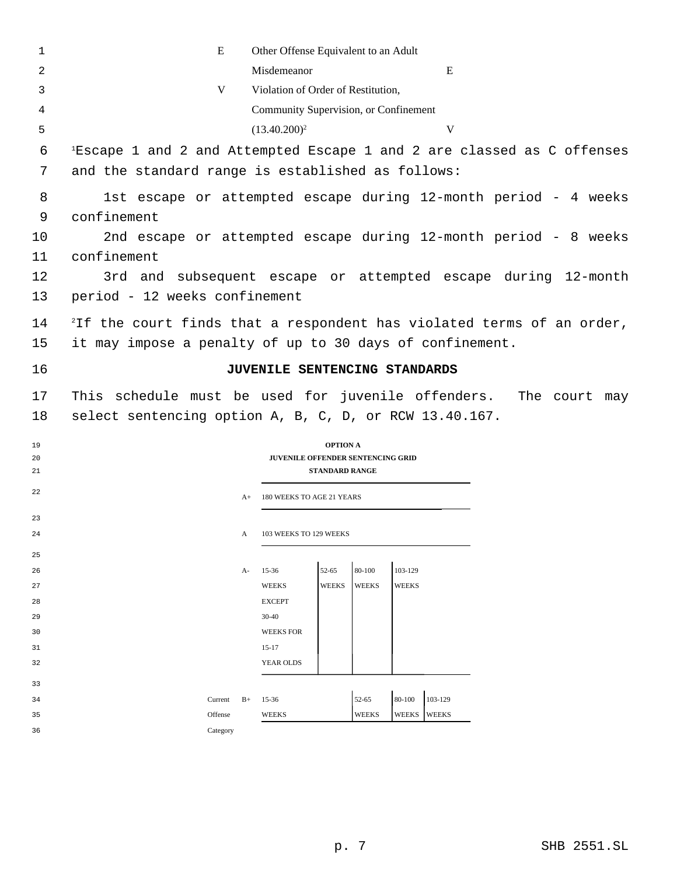| 1        | E                                                                                  | Other Offense Equivalent to an Adult  |                       |                        |                         |  |               |  |
|----------|------------------------------------------------------------------------------------|---------------------------------------|-----------------------|------------------------|-------------------------|--|---------------|--|
| 2        | Misdemeanor<br>E                                                                   |                                       |                       |                        |                         |  |               |  |
| 3        | V<br>Violation of Order of Restitution,                                            |                                       |                       |                        |                         |  |               |  |
| 4        |                                                                                    | Community Supervision, or Confinement |                       |                        |                         |  |               |  |
| 5        |                                                                                    | $(13.40.200)^2$                       |                       |                        | V                       |  |               |  |
| 6        | <sup>1</sup> Escape 1 and 2 and Attempted Escape 1 and 2 are classed as C offenses |                                       |                       |                        |                         |  |               |  |
|          |                                                                                    |                                       |                       |                        |                         |  |               |  |
| 7        | and the standard range is established as follows:                                  |                                       |                       |                        |                         |  |               |  |
| 8        | 1st escape or attempted escape during 12-month period - 4 weeks                    |                                       |                       |                        |                         |  |               |  |
| 9        | confinement                                                                        |                                       |                       |                        |                         |  |               |  |
| 10       | 2nd escape or attempted escape during 12-month period - 8 weeks                    |                                       |                       |                        |                         |  |               |  |
| 11       | confinement                                                                        |                                       |                       |                        |                         |  |               |  |
| 12       | 3rd and subsequent escape or attempted escape during 12-month                      |                                       |                       |                        |                         |  |               |  |
| 13       | period - 12 weeks confinement                                                      |                                       |                       |                        |                         |  |               |  |
| 14       | <sup>2</sup> If the court finds that a respondent has violated terms of an order,  |                                       |                       |                        |                         |  |               |  |
| 15       | it may impose a penalty of up to 30 days of confinement.                           |                                       |                       |                        |                         |  |               |  |
|          |                                                                                    |                                       |                       |                        |                         |  |               |  |
| 16       |                                                                                    | JUVENILE SENTENCING STANDARDS         |                       |                        |                         |  |               |  |
| 17       | This schedule must be used for juvenile offenders.                                 |                                       |                       |                        |                         |  | The court may |  |
| 18       | select sentencing option A, B, C, D, or RCW 13.40.167.                             |                                       |                       |                        |                         |  |               |  |
| 19       |                                                                                    | <b>OPTION A</b>                       |                       |                        |                         |  |               |  |
| 20       |                                                                                    | JUVENILE OFFENDER SENTENCING GRID     |                       |                        |                         |  |               |  |
| 21       |                                                                                    | <b>STANDARD RANGE</b>                 |                       |                        |                         |  |               |  |
| 22       | $A+$                                                                               | 180 WEEKS TO AGE 21 YEARS             |                       |                        |                         |  |               |  |
| 23       |                                                                                    |                                       |                       |                        |                         |  |               |  |
| 24       | A                                                                                  | 103 WEEKS TO 129 WEEKS                |                       |                        |                         |  |               |  |
| 25       |                                                                                    |                                       |                       |                        |                         |  |               |  |
| 26       | А-                                                                                 | 52-65<br>15-36                        | 80-100                | 103-129                |                         |  |               |  |
| 27       |                                                                                    | <b>WEEKS</b><br><b>WEEKS</b>          | <b>WEEKS</b>          | <b>WEEKS</b>           |                         |  |               |  |
| 28       |                                                                                    | <b>EXCEPT</b>                         |                       |                        |                         |  |               |  |
| 29       |                                                                                    | $30 - 40$                             |                       |                        |                         |  |               |  |
| 30       |                                                                                    | <b>WEEKS FOR</b>                      |                       |                        |                         |  |               |  |
| 31       |                                                                                    | $15-17$<br>YEAR OLDS                  |                       |                        |                         |  |               |  |
| 32       |                                                                                    |                                       |                       |                        |                         |  |               |  |
| 33       |                                                                                    |                                       |                       |                        |                         |  |               |  |
| 34<br>35 | $B+$<br>Current<br>Offense                                                         | 15-36<br><b>WEEKS</b>                 | 52-65<br><b>WEEKS</b> | 80-100<br><b>WEEKS</b> | 103-129<br><b>WEEKS</b> |  |               |  |
| 36       | Category                                                                           |                                       |                       |                        |                         |  |               |  |
|          |                                                                                    |                                       |                       |                        |                         |  |               |  |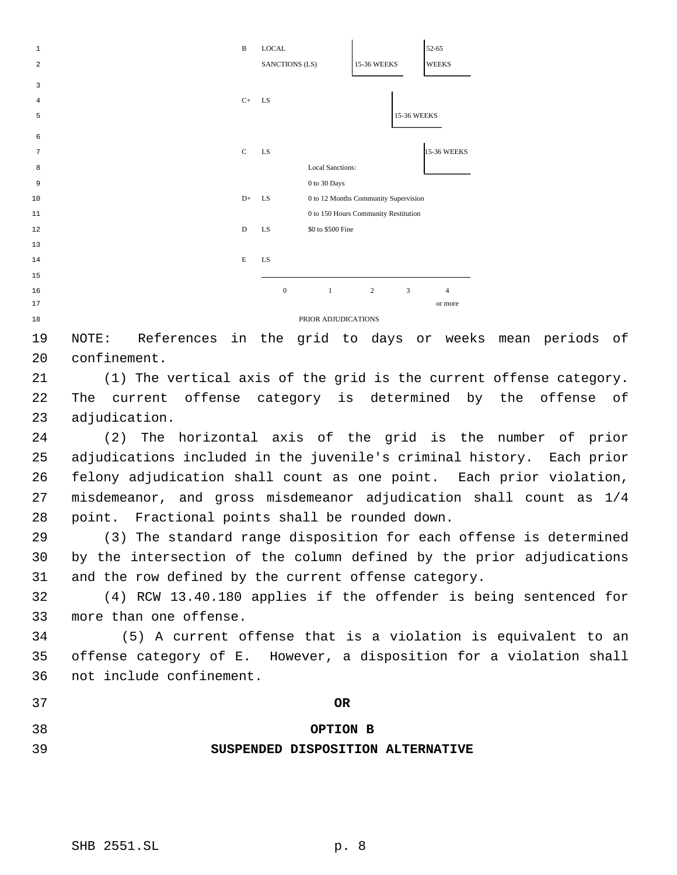| $\mathbf{1}$   |              |                                                  | B             | <b>LOCAL</b>   |                         |                                      | 52-65               |
|----------------|--------------|--------------------------------------------------|---------------|----------------|-------------------------|--------------------------------------|---------------------|
| $\overline{a}$ |              |                                                  |               | SANCTIONS (LS) |                         | 15-36 WEEKS                          | <b>WEEKS</b>        |
| 3              |              |                                                  |               |                |                         |                                      |                     |
| 4              |              |                                                  | $C+$          | <b>LS</b>      |                         |                                      |                     |
| 5              |              |                                                  |               |                |                         |                                      | 15-36 WEEKS         |
| 6              |              |                                                  |               |                |                         |                                      |                     |
| 7              |              |                                                  | $\mathcal{C}$ | LS             |                         |                                      | <b>15-36 WEEKS</b>  |
| 8              |              |                                                  |               |                | <b>Local Sanctions:</b> |                                      |                     |
| 9              |              |                                                  |               |                | 0 to 30 Days            |                                      |                     |
| 10             |              |                                                  | $D+$          | LS             |                         | 0 to 12 Months Community Supervision |                     |
| 11             |              |                                                  |               |                |                         | 0 to 150 Hours Community Restitution |                     |
| 12             |              |                                                  | D             | LS             | \$0 to \$500 Fine       |                                      |                     |
| 13             |              |                                                  |               |                |                         |                                      |                     |
| 14             |              |                                                  | E             | LS             |                         |                                      |                     |
| 15             |              |                                                  |               |                |                         |                                      |                     |
| 16             |              |                                                  |               | $\mathbf{0}$   | $\mathbf{1}$            | 2                                    | 3<br>$\overline{4}$ |
| 17             |              |                                                  |               |                |                         |                                      | or more             |
| 18             |              |                                                  |               |                | PRIOR ADJUDICATIONS     |                                      |                     |
| 19             | NOTE:        | References in the grid to days                   |               |                |                         |                                      | weeks<br>or         |
| 20             | confinement. |                                                  |               |                |                         |                                      |                     |
| 21             |              | (1) The vertical axis of the grid is the current |               |                |                         |                                      |                     |
|                |              |                                                  |               |                |                         |                                      |                     |

offense category. The current offense category is determined by the offense of adjudication.

mean periods of

 (2) The horizontal axis of the grid is the number of prior adjudications included in the juvenile's criminal history. Each prior felony adjudication shall count as one point. Each prior violation, misdemeanor, and gross misdemeanor adjudication shall count as 1/4 point. Fractional points shall be rounded down.

 (3) The standard range disposition for each offense is determined by the intersection of the column defined by the prior adjudications and the row defined by the current offense category.

 (4) RCW 13.40.180 applies if the offender is being sentenced for more than one offense.

34 (5) A current offense that is a violation is equivalent to an offense category of E. However, a disposition for a violation shall not include confinement.

**OR**

# **OPTION B**

# **SUSPENDED DISPOSITION ALTERNATIVE**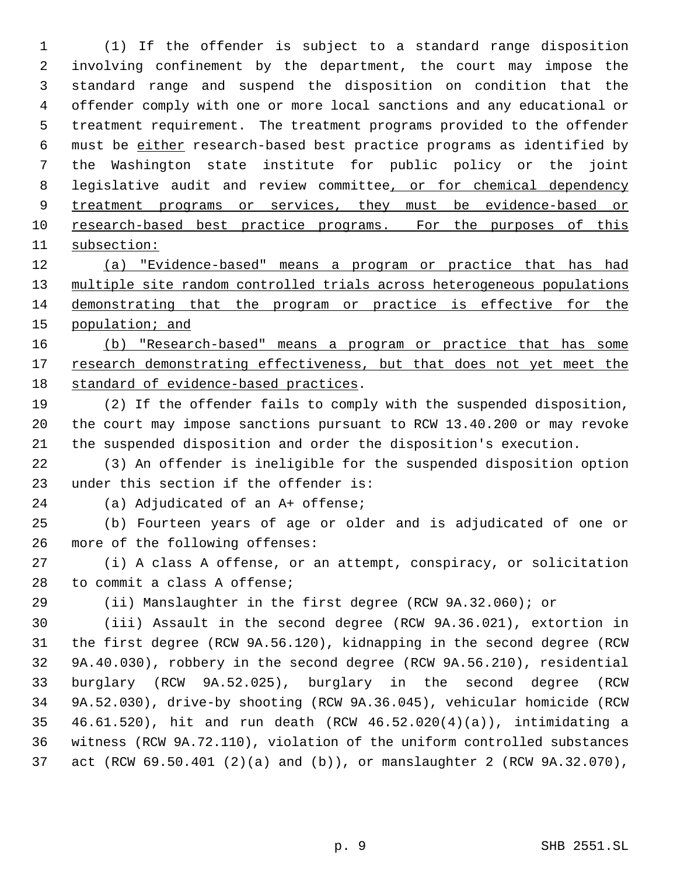(1) If the offender is subject to a standard range disposition involving confinement by the department, the court may impose the standard range and suspend the disposition on condition that the offender comply with one or more local sanctions and any educational or treatment requirement. The treatment programs provided to the offender must be either research-based best practice programs as identified by the Washington state institute for public policy or the joint 8 legislative audit and review committee<u>, or for chemical dependency</u> 9 treatment programs or services, they must be evidence-based or 10 research-based best practice programs. For the purposes of this subsection:

 (a) "Evidence-based" means a program or practice that has had multiple site random controlled trials across heterogeneous populations demonstrating that the program or practice is effective for the 15 population; and

 (b) "Research-based" means a program or practice that has some 17 research demonstrating effectiveness, but that does not yet meet the standard of evidence-based practices.

 (2) If the offender fails to comply with the suspended disposition, the court may impose sanctions pursuant to RCW 13.40.200 or may revoke the suspended disposition and order the disposition's execution.

 (3) An offender is ineligible for the suspended disposition option under this section if the offender is:

(a) Adjudicated of an A+ offense;

 (b) Fourteen years of age or older and is adjudicated of one or more of the following offenses:

 (i) A class A offense, or an attempt, conspiracy, or solicitation to commit a class A offense;

(ii) Manslaughter in the first degree (RCW 9A.32.060); or

 (iii) Assault in the second degree (RCW 9A.36.021), extortion in the first degree (RCW 9A.56.120), kidnapping in the second degree (RCW 9A.40.030), robbery in the second degree (RCW 9A.56.210), residential burglary (RCW 9A.52.025), burglary in the second degree (RCW 9A.52.030), drive-by shooting (RCW 9A.36.045), vehicular homicide (RCW 46.61.520), hit and run death (RCW 46.52.020(4)(a)), intimidating a witness (RCW 9A.72.110), violation of the uniform controlled substances act (RCW 69.50.401 (2)(a) and (b)), or manslaughter 2 (RCW 9A.32.070),